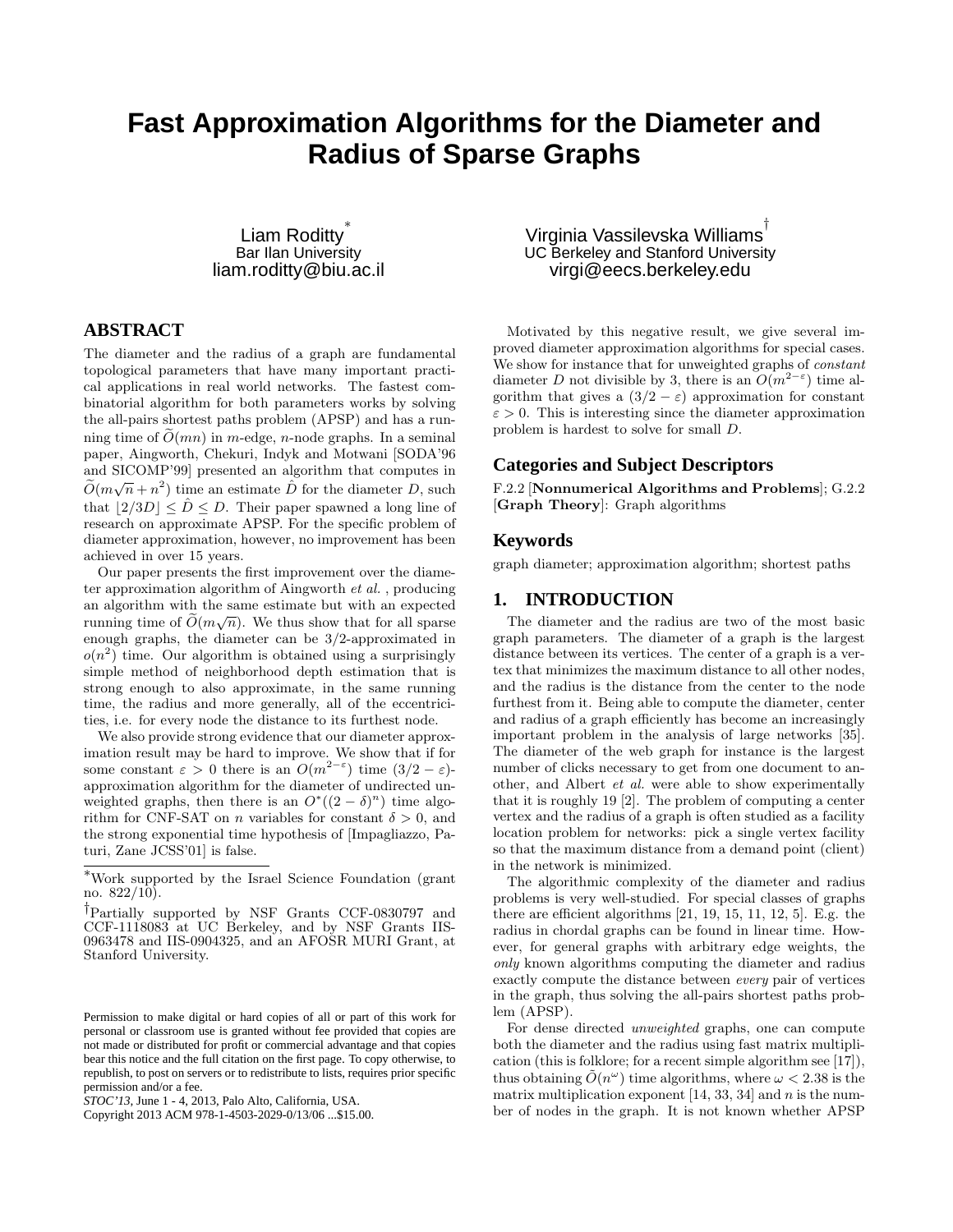# **Fast Approximation Algorithms for the Diameter and Radius of Sparse Graphs**

Liam Roditty<sup>\*</sup> Bar Ilan University liam.roditty@biu.ac.il

# **ABSTRACT**

The diameter and the radius of a graph are fundamental topological parameters that have many important practical applications in real world networks. The fastest combinatorial algorithm for both parameters works by solving the all-pairs shortest paths problem (APSP) and has a running time of  $\tilde{O}(mn)$  in m-edge, n-node graphs. In a seminal paper, Aingworth, Chekuri, Indyk and Motwani [SODA'96 and SICOMP'99] presented an algorithm that computes in  $\widetilde{O}(m\sqrt{n}+n^2)$  time an estimate  $\widehat{D}$  for the diameter  $D$ , such that  $|2/3D| \leq \hat{D} \leq D$ . Their paper spawned a long line of research on approximate APSP. For the specific problem of diameter approximation, however, no improvement has been achieved in over 15 years.

Our paper presents the first improvement over the diameter approximation algorithm of Aingworth *et al.* , producing an algorithm with the same estimate but with an expected running time of  $\tilde{O}(m\sqrt{n})$ . We thus show that for all sparse enough graphs, the diameter can be 3/2-approximated in  $o(n^2)$  time. Our algorithm is obtained using a surprisingly simple method of neighborhood depth estimation that is strong enough to also approximate, in the same running time, the radius and more generally, all of the eccentricities, i.e. for every node the distance to its furthest node.

We also provide strong evidence that our diameter approximation result may be hard to improve. We show that if for some constant  $\varepsilon > 0$  there is an  $O(m^{2-\varepsilon})$  time  $(3/2 - \varepsilon)$ approximation algorithm for the diameter of undirected unweighted graphs, then there is an  $O^*((2 - \delta)^n)$  time algorithm for CNF-SAT on *n* variables for constant  $\delta > 0$ , and the strong exponential time hypothesis of [Impagliazzo, Paturi, Zane JCSS'01] is false.

Virginia Vassilevska Williams ${}^{\!\top}$ UC Berkeley and Stanford University virgi@eecs.berkeley.edu

Motivated by this negative result, we give several improved diameter approximation algorithms for special cases. We show for instance that for unweighted graphs of *constant* diameter D not divisible by 3, there is an  $O(m^{2-\epsilon})$  time algorithm that gives a  $(3/2 - \varepsilon)$  approximation for constant  $\varepsilon > 0$ . This is interesting since the diameter approximation problem is hardest to solve for small D.

# **Categories and Subject Descriptors**

F.2.2 [Nonnumerical Algorithms and Problems]; G.2.2 [Graph Theory]: Graph algorithms

## **Keywords**

graph diameter; approximation algorithm; shortest paths

# **1. INTRODUCTION**

The diameter and the radius are two of the most basic graph parameters. The diameter of a graph is the largest distance between its vertices. The center of a graph is a vertex that minimizes the maximum distance to all other nodes, and the radius is the distance from the center to the node furthest from it. Being able to compute the diameter, center and radius of a graph efficiently has become an increasingly important problem in the analysis of large networks [35]. The diameter of the web graph for instance is the largest number of clicks necessary to get from one document to another, and Albert *et al.* were able to show experimentally that it is roughly 19 [2]. The problem of computing a center vertex and the radius of a graph is often studied as a facility location problem for networks: pick a single vertex facility so that the maximum distance from a demand point (client) in the network is minimized.

The algorithmic complexity of the diameter and radius problems is very well-studied. For special classes of graphs there are efficient algorithms [21, 19, 15, 11, 12, 5]. E.g. the radius in chordal graphs can be found in linear time. However, for general graphs with arbitrary edge weights, the *only* known algorithms computing the diameter and radius exactly compute the distance between *every* pair of vertices in the graph, thus solving the all-pairs shortest paths problem (APSP).

For dense directed *unweighted* graphs, one can compute both the diameter and the radius using fast matrix multiplication (this is folklore; for a recent simple algorithm see [17]), thus obtaining  $\tilde{O}(n^{\omega})$  time algorithms, where  $\omega < 2.38$  is the matrix multiplication exponent  $[14, 33, 34]$  and n is the number of nodes in the graph. It is not known whether APSP

<sup>∗</sup>Work supported by the Israel Science Foundation (grant no.  $822/10$ .

<sup>†</sup>Partially supported by NSF Grants CCF-0830797 and CCF-1118083 at UC Berkeley, and by NSF Grants IIS-0963478 and IIS-0904325, and an AFOSR MURI Grant, at Stanford University.

Permission to make digital or hard copies of all or part of this work for personal or classroom use is granted without fee provided that copies are not made or distributed for profit or commercial advantage and that copies bear this notice and the full citation on the first page. To copy otherwise, to republish, to post on servers or to redistribute to lists, requires prior specific permission and/or a fee.

*STOC'13,* June 1 - 4, 2013, Palo Alto, California, USA.

Copyright 2013 ACM 978-1-4503-2029-0/13/06 ...\$15.00.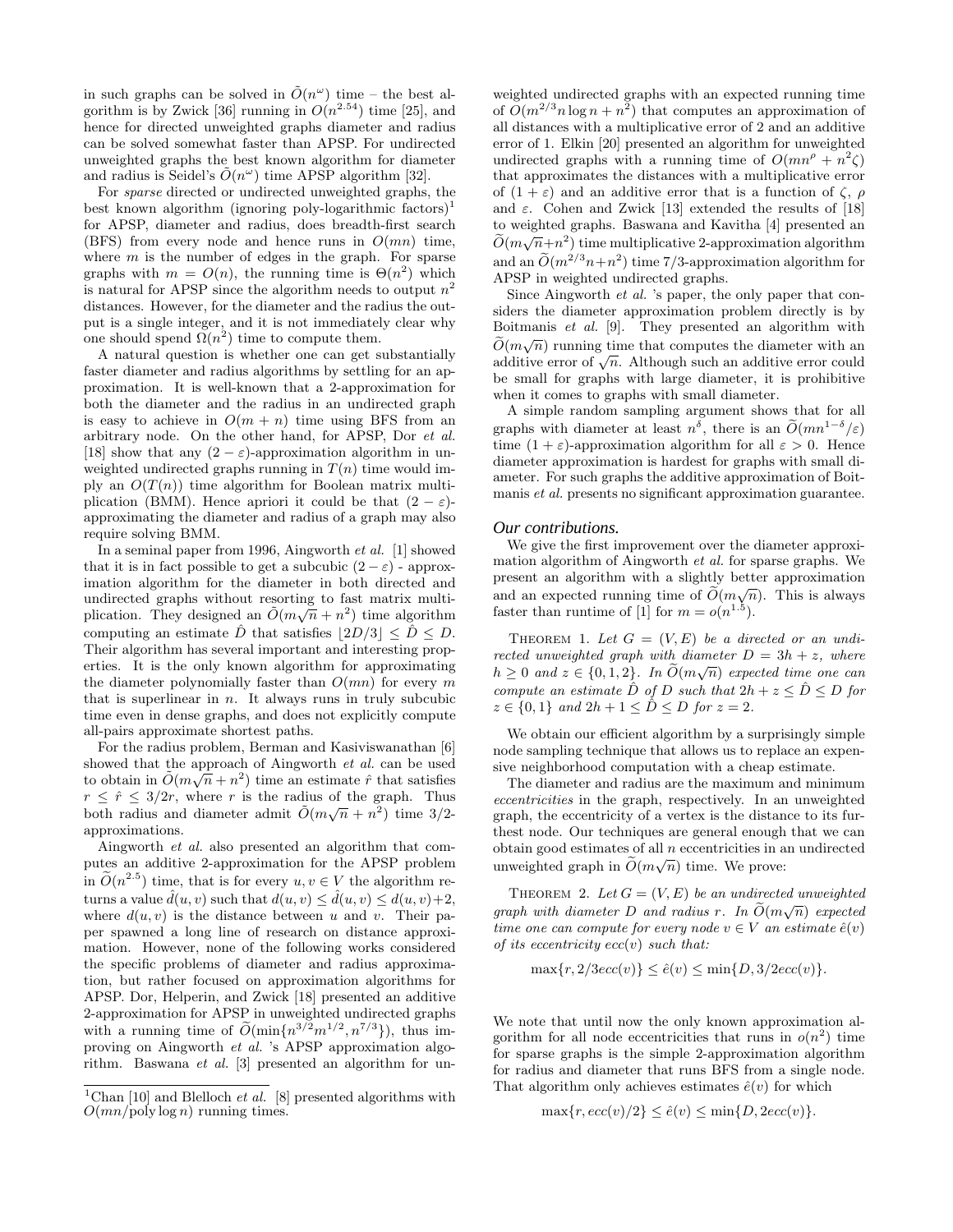in such graphs can be solved in  $\tilde{O}(n^{\omega})$  time – the best algorithm is by Zwick [36] running in  $O(n^{2.54})$  time [25], and hence for directed unweighted graphs diameter and radius can be solved somewhat faster than APSP. For undirected unweighted graphs the best known algorithm for diameter and radius is Seidel's  $\tilde{O}(n^{\omega})$  time APSP algorithm [32].

For *sparse* directed or undirected unweighted graphs, the best known algorithm (ignoring poly-logarithmic factors)<sup>1</sup> for APSP, diameter and radius, does breadth-first search (BFS) from every node and hence runs in  $O(mn)$  time, where  $m$  is the number of edges in the graph. For sparse graphs with  $m = O(n)$ , the running time is  $\Theta(n^2)$  which is natural for APSP since the algorithm needs to output  $n^2$ distances. However, for the diameter and the radius the output is a single integer, and it is not immediately clear why one should spend  $\Omega(n^2)$  time to compute them.

A natural question is whether one can get substantially faster diameter and radius algorithms by settling for an approximation. It is well-known that a 2-approximation for both the diameter and the radius in an undirected graph is easy to achieve in  $O(m + n)$  time using BFS from an arbitrary node. On the other hand, for APSP, Dor *et al.* [18] show that any  $(2 - \varepsilon)$ -approximation algorithm in unweighted undirected graphs running in  $T(n)$  time would imply an  $O(T(n))$  time algorithm for Boolean matrix multiplication (BMM). Hence apriori it could be that  $(2 - \varepsilon)$ approximating the diameter and radius of a graph may also require solving BMM.

In a seminal paper from 1996, Aingworth *et al.* [1] showed that it is in fact possible to get a subcubic  $(2 - \varepsilon)$  - approximation algorithm for the diameter in both directed and undirected graphs without resorting to fast matrix multiplication. They designed an  $\tilde{O}(m\sqrt{n}+n^2)$  time algorithm computing an estimate  $\hat{D}$  that satisfies  $|2D/3| \leq \hat{D} \leq D$ . Their algorithm has several important and interesting properties. It is the only known algorithm for approximating the diameter polynomially faster than  $O(mn)$  for every m that is superlinear in  $n$ . It always runs in truly subcubic time even in dense graphs, and does not explicitly compute all-pairs approximate shortest paths.

For the radius problem, Berman and Kasiviswanathan [6] showed that the approach of Aingworth *et al.* can be used to obtain in  $\tilde{O}(m\sqrt{n}+n^2)$  time an estimate  $\hat{r}$  that satisfies  $r \leq \hat{r} \leq 3/2r$ , where r is the radius of the graph. Thus both radius and diameter admit  $\tilde{O}(m\sqrt{n} + n^2)$  time 3/2approximations.

Aingworth *et al.* also presented an algorithm that computes an additive 2-approximation for the APSP problem in  $\widetilde{O}(n^{2.5})$  time, that is for every  $u, v \in V$  the algorithm returns a value  $\hat{d}(u, v)$  such that  $d(u, v) \leq \hat{d}(u, v) \leq d(u, v) + 2$ , where  $d(u, v)$  is the distance between u and v. Their paper spawned a long line of research on distance approximation. However, none of the following works considered the specific problems of diameter and radius approximation, but rather focused on approximation algorithms for APSP. Dor, Helperin, and Zwick [18] presented an additive 2-approximation for APSP in unweighted undirected graphs with a running time of  $\tilde{O}(\min\{n^{3/2}m^{1/2}, n^{7/3}\})$ , thus improving on Aingworth *et al.* 's APSP approximation algorithm. Baswana *et al.* [3] presented an algorithm for unweighted undirected graphs with an expected running time of  $O(m^{2/3}n \log n + n^2)$  that computes an approximation of all distances with a multiplicative error of 2 and an additive error of 1. Elkin [20] presented an algorithm for unweighted undirected graphs with a running time of  $O(mn^{\rho} + n^2 \zeta)$ that approximates the distances with a multiplicative error of  $(1 + \varepsilon)$  and an additive error that is a function of  $\zeta$ ,  $\rho$ and  $\varepsilon$ . Cohen and Zwick [13] extended the results of [18] to weighted graphs. Baswana and Kavitha [4] presented an  $\widetilde{O}(m\sqrt{n}+n^2)$  time multiplicative 2-approximation algorithm and an  $\widetilde{O}(m^{2/3}n+n^2)$  time 7/3-approximation algorithm for APSP in weighted undirected graphs.

Since Aingworth *et al.* 's paper, the only paper that considers the diameter approximation problem directly is by Boitmanis *et al.* [9]. They presented an algorithm with  $\widetilde{O}(m\sqrt{n})$  running time that computes the diameter with an additive error of  $\sqrt{n}$ . Although such an additive error could be small for graphs with large diameter, it is prohibitive when it comes to graphs with small diameter.

A simple random sampling argument shows that for all graphs with diameter at least  $n^{\delta}$ , there is an  $\tilde{O}(mn^{1-\delta}/\varepsilon)$ time  $(1 + \varepsilon)$ -approximation algorithm for all  $\varepsilon > 0$ . Hence diameter approximation is hardest for graphs with small diameter. For such graphs the additive approximation of Boitmanis *et al.* presents no significant approximation guarantee.

#### *Our contributions.*

We give the first improvement over the diameter approximation algorithm of Aingworth *et al.* for sparse graphs. We present an algorithm with a slightly better approximation and an expected running time of  $\widetilde{O}(m\sqrt{n})$ . This is always faster than runtime of [1] for  $m = o(n^{1.5})$ .

THEOREM 1. Let  $G = (V, E)$  be a directed or an undi*rected unweighted graph with diameter*  $D = 3h + z$ *, where*  $h \geq 0$  and  $z \in \{0, 1, 2\}$ . In  $\widetilde{O}(m\sqrt{n})$  expected time one can *compute an estimate*  $\hat{D}$  *of*  $D$  *such that*  $2h + z \leq \hat{D} \leq D$  *for*  $z \in \{0, 1\}$  *and*  $2h + 1 \leq \hat{D} \leq D$  *for*  $z = 2$ *.* 

We obtain our efficient algorithm by a surprisingly simple node sampling technique that allows us to replace an expensive neighborhood computation with a cheap estimate.

The diameter and radius are the maximum and minimum *eccentricities* in the graph, respectively. In an unweighted graph, the eccentricity of a vertex is the distance to its furthest node. Our techniques are general enough that we can obtain good estimates of all  $n$  eccentricities in an undirected unweighted graph in  $\widetilde{O}(m\sqrt{n})$  time. We prove:

THEOREM 2. Let  $G = (V, E)$  be an undirected unweighted *graph with diameter*  $D$  *and radius*  $r$ *. In*  $\widetilde{O}(m\sqrt{n})$  *expected time one can compute for every node*  $v \in V$  *an estimate*  $\hat{e}(v)$ *of its eccentricity* ecc(v) *such that:*

$$
\max\{r, 2/3ecc(v)\} \le \hat{e}(v) \le \min\{D, 3/2ecc(v)\}.
$$

We note that until now the only known approximation algorithm for all node eccentricities that runs in  $o(n^2)$  time for sparse graphs is the simple 2-approximation algorithm for radius and diameter that runs BFS from a single node. That algorithm only achieves estimates  $\hat{e}(v)$  for which

$$
\max\{r, ecc(v)/2\} \leq \hat{e}(v) \leq \min\{D,2ecc(v)\}.
$$

<sup>&</sup>lt;sup>1</sup>Chan [10] and Blelloch *et al.* [8] presented algorithms with  $O(mn/\text{poly}\log n)$  running times.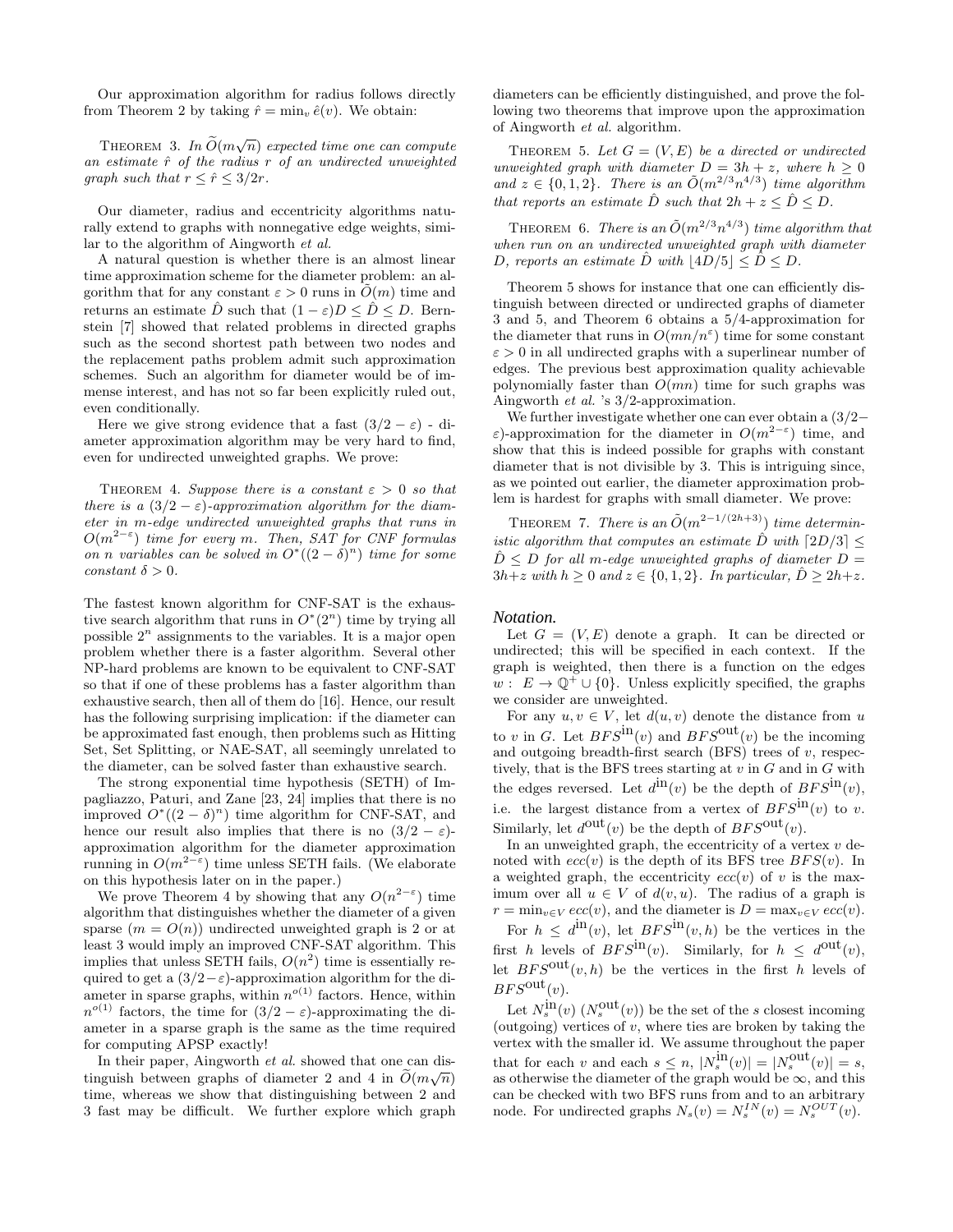Our approximation algorithm for radius follows directly from Theorem 2 by taking  $\hat{r} = \min_v \hat{e}(v)$ . We obtain:

THEOREM 3. *In*  $\widetilde{O}(m\sqrt{n})$  expected time one can compute an estimate  $\hat{r}$  of the radius r of an undirected unweighted *graph such that*  $r \leq \hat{r} \leq 3/2r$ .

Our diameter, radius and eccentricity algorithms naturally extend to graphs with nonnegative edge weights, similar to the algorithm of Aingworth *et al.*

A natural question is whether there is an almost linear time approximation scheme for the diameter problem: an algorithm that for any constant  $\varepsilon > 0$  runs in  $\tilde{O}(m)$  time and returns an estimate  $\hat{D}$  such that  $(1 - \varepsilon)D < \hat{D} < D$ . Bernstein [7] showed that related problems in directed graphs such as the second shortest path between two nodes and the replacement paths problem admit such approximation schemes. Such an algorithm for diameter would be of immense interest, and has not so far been explicitly ruled out, even conditionally.

Here we give strong evidence that a fast  $(3/2 - \varepsilon)$  - diameter approximation algorithm may be very hard to find, even for undirected unweighted graphs. We prove:

THEOREM 4. *Suppose there is a constant*  $\varepsilon > 0$  *so that there is a*  $(3/2 - \varepsilon)$ *-approximation algorithm for the diameter in* m*-edge undirected unweighted graphs that runs in* O(m<sup>2</sup>−<sup>ε</sup> ) *time for every* m*. Then, SAT for CNF formulas on n variables can be solved in*  $O^*((2 - \delta)^n)$  *time for some*  $constant \delta > 0$ .

The fastest known algorithm for CNF-SAT is the exhaustive search algorithm that runs in  $O^*(2^n)$  time by trying all possible  $2^n$  assignments to the variables. It is a major open problem whether there is a faster algorithm. Several other NP-hard problems are known to be equivalent to CNF-SAT so that if one of these problems has a faster algorithm than exhaustive search, then all of them do [16]. Hence, our result has the following surprising implication: if the diameter can be approximated fast enough, then problems such as Hitting Set, Set Splitting, or NAE-SAT, all seemingly unrelated to the diameter, can be solved faster than exhaustive search.

The strong exponential time hypothesis (SETH) of Impagliazzo, Paturi, and Zane [23, 24] implies that there is no improved  $O^*((2 - \delta)^n)$  time algorithm for CNF-SAT, and hence our result also implies that there is no  $(3/2 - \varepsilon)$ approximation algorithm for the diameter approximation running in  $O(m^{2-\epsilon})$  time unless SETH fails. (We elaborate on this hypothesis later on in the paper.)

We prove Theorem 4 by showing that any  $O(n^{2-\epsilon})$  time algorithm that distinguishes whether the diameter of a given sparse  $(m = O(n))$  undirected unweighted graph is 2 or at least 3 would imply an improved CNF-SAT algorithm. This implies that unless SETH fails,  $O(n^2)$  time is essentially required to get a  $(3/2 - \varepsilon)$ -approximation algorithm for the diameter in sparse graphs, within  $n^{o(1)}$  factors. Hence, within  $n^{o(1)}$  factors, the time for  $(3/2 - \varepsilon)$ -approximating the diameter in a sparse graph is the same as the time required for computing APSP exactly!

In their paper, Aingworth *et al.* showed that one can distinguish between graphs of diameter 2 and 4 in  $\tilde{O}(m\sqrt{n})$ time, whereas we show that distinguishing between 2 and 3 fast may be difficult. We further explore which graph diameters can be efficiently distinguished, and prove the following two theorems that improve upon the approximation of Aingworth *et al.* algorithm.

THEOREM 5. Let  $G = (V, E)$  be a directed or undirected *unweighted graph with diameter*  $D = 3h + z$ *, where*  $h \geq 0$ and  $z \in \{0, 1, 2\}$ . There is an  $\tilde{O}(m^{2/3}n^{4/3})$  *time algorithm that reports an estimate*  $\hat{D}$  *such that*  $2h + z \leq \hat{D} \leq D$ *.* 

THEOREM 6. *There is an*  $\tilde{O}(m^{2/3}n^{4/3})$  *time algorithm that when run on an undirected unweighted graph with diameter* D, reports an estimate D with  $|4D/5| \le D \le D$ .

Theorem 5 shows for instance that one can efficiently distinguish between directed or undirected graphs of diameter 3 and 5, and Theorem 6 obtains a 5/4-approximation for the diameter that runs in  $O(mn/n^{\epsilon})$  time for some constant  $\varepsilon > 0$  in all undirected graphs with a superlinear number of edges. The previous best approximation quality achievable polynomially faster than  $O(mn)$  time for such graphs was Aingworth *et al.* 's 3/2-approximation.

We further investigate whether one can ever obtain a (3/2− ε)-approximation for the diameter in  $O(m^{2-\epsilon})$  time, and show that this is indeed possible for graphs with constant diameter that is not divisible by 3. This is intriguing since, as we pointed out earlier, the diameter approximation problem is hardest for graphs with small diameter. We prove:

THEOREM 7. *There is an*  $\tilde{O}(m^{2-1/(2h+3)})$  *time deterministic algorithm that computes an estimate*  $\hat{D}$  *with*  $\lceil 2D/3 \rceil \leq$  $\hat{D} \leq D$  *for all m-edge unweighted graphs of diameter*  $D =$  $3h+z$  with  $h > 0$  and  $z \in \{0, 1, 2\}$ . In particular,  $\hat{D} > 2h+z$ .

#### *Notation.*

Let  $G = (V, E)$  denote a graph. It can be directed or undirected; this will be specified in each context. If the graph is weighted, then there is a function on the edges  $w: E \to \mathbb{Q}^+ \cup \{0\}$ . Unless explicitly specified, the graphs we consider are unweighted.

For any  $u, v \in V$ , let  $d(u, v)$  denote the distance from u to v in G. Let  $BFS^{\text{in}}(v)$  and  $BFS^{\text{out}}(v)$  be the incoming and outgoing breadth-first search  $(BFS)$  trees of v, respectively, that is the BFS trees starting at  $v$  in  $G$  and in  $G$  with the edges reversed. Let  $d^{\text{in}}(v)$  be the depth of  $BFS^{\text{in}}(v)$ , i.e. the largest distance from a vertex of  $BFS^{\text{in}}(v)$  to v. Similarly, let  $d^{\text{out}}(v)$  be the depth of  $BFS^{\text{out}}(v)$ .

In an unweighted graph, the eccentricity of a vertex  $v$  denoted with  $ecc(v)$  is the depth of its BFS tree  $BFS(v)$ . In a weighted graph, the eccentricity  $ecc(v)$  of v is the maximum over all  $u \in V$  of  $d(v, u)$ . The radius of a graph is  $r = \min_{v \in V} ecc(v)$ , and the diameter is  $D = \max_{v \in V} ecc(v)$ . For  $h \leq d^{\text{in}}(v)$ , let  $BFS^{\text{in}}(v, h)$  be the vertices in the first h levels of  $BFS^{\text{in}}(v)$ . Similarly, for  $h \leq d^{\text{out}}(v)$ , let  $BFS^{out}(v, h)$  be the vertices in the first h levels of  $BFS^{\text{out}}(v)$ .

Let  $N_s^{\text{in}}(v)$   $(N_s^{\text{out}}(v))$  be the set of the s closest incoming (outgoing) vertices of  $v$ , where ties are broken by taking the vertex with the smaller id. We assume throughout the paper that for each v and each  $s \leq n$ ,  $|N_s^{\text{in}}(v)| = |N_s^{\text{out}}(v)| = s$ , as otherwise the diameter of the graph would be  $\infty$ , and this can be checked with two BFS runs from and to an arbitrary node. For undirected graphs  $N_s(v) = N_s^{IN}(v) = N_s^{OUT}(v)$ .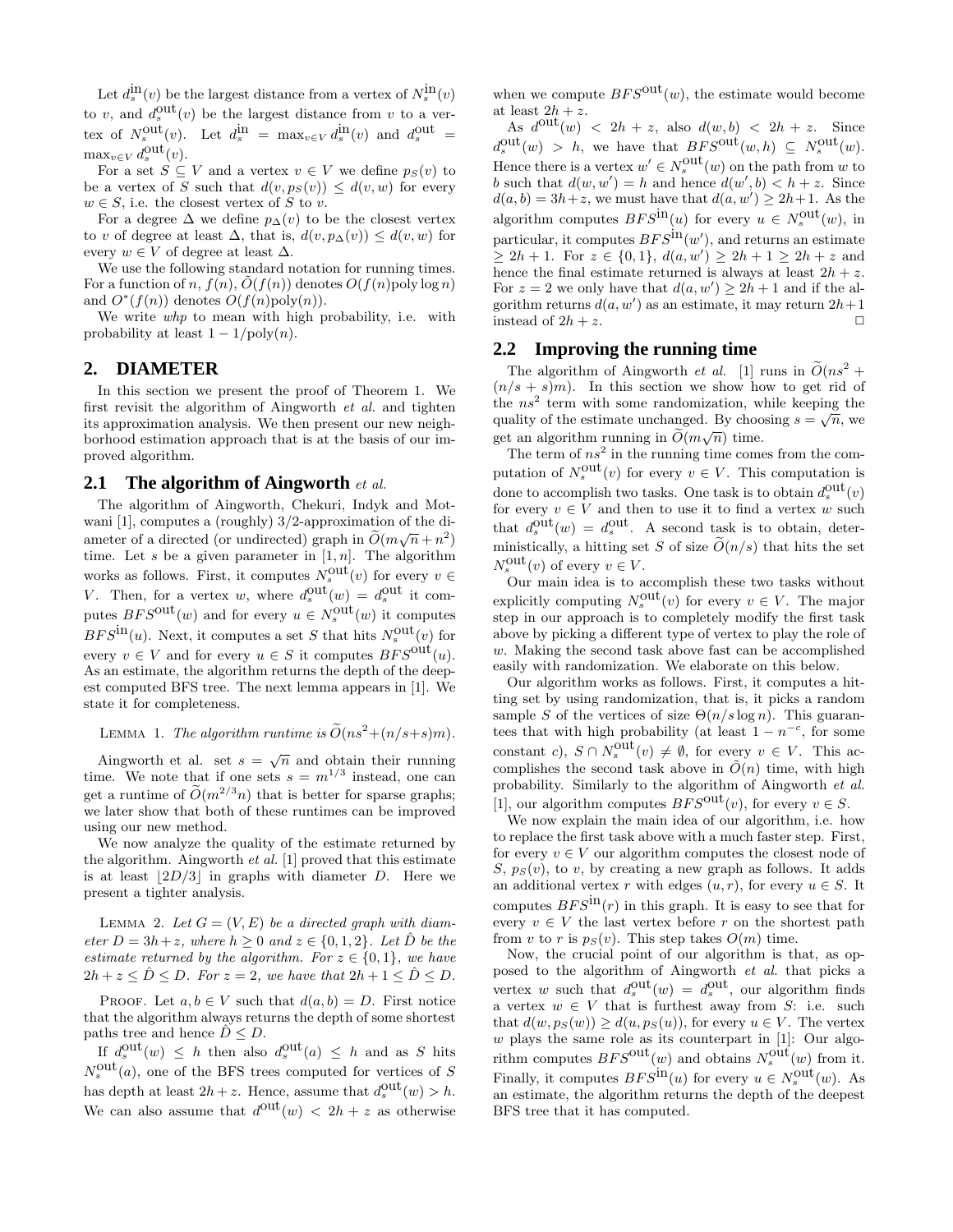Let  $d_s^{\rm in}(v)$  be the largest distance from a vertex of  $N_s^{\rm in}(v)$ to v, and  $d_s^{\text{out}}(v)$  be the largest distance from v to a vertex of  $N_s^{\text{out}}(v)$ . Let  $d_s^{\text{in}} = \max_{v \in V} d_s^{\text{in}}(v)$  and  $d_s^{\text{out}} =$  $\max_{v \in V} d_s^{\text{out}}(v)$ .

For a set  $S \subseteq V$  and a vertex  $v \in V$  we define  $p_S(v)$  to be a vertex of S such that  $d(v, p_S(v)) \leq d(v, w)$  for every  $w \in S$ , i.e. the closest vertex of S to v.

For a degree  $\Delta$  we define  $p_{\Delta}(v)$  to be the closest vertex to v of degree at least  $\Delta$ , that is,  $d(v, p_{\Delta}(v)) \leq d(v, w)$  for every  $w \in V$  of degree at least  $\Delta$ .

We use the following standard notation for running times. For a function of n,  $f(n)$ ,  $\tilde{O}(f(n))$  denotes  $O(f(n)$ poly log n) and  $O^*(f(n))$  denotes  $O(f(n)poly(n)).$ 

We write *whp* to mean with high probability, i.e. with probability at least  $1 - 1/\text{poly}(n)$ .

## **2. DIAMETER**

In this section we present the proof of Theorem 1. We first revisit the algorithm of Aingworth *et al.* and tighten its approximation analysis. We then present our new neighborhood estimation approach that is at the basis of our improved algorithm.

#### **2.1 The algorithm of Aingworth** *et al.*

The algorithm of Aingworth, Chekuri, Indyk and Motwani [1], computes a (roughly) 3/2-approximation of the diameter of a directed (or undirected) graph in  $\tilde{O}(m\sqrt{n}+n^2)$ time. Let s be a given parameter in  $[1, n]$ . The algorithm works as follows. First, it computes  $N_s^{\text{out}}(v)$  for every  $v \in$ V. Then, for a vertex w, where  $d_s^{\text{out}}(w) = d_s^{\text{out}}$  it computes  $BFS^{\text{out}}(w)$  and for every  $u \in N_s^{\text{out}}(w)$  it computes  $BFS^{\text{in}}(u)$ . Next, it computes a set S that hits  $N_s^{\text{out}}(v)$  for every  $v \in V$  and for every  $u \in S$  it computes  $BFS^{out}(u)$ . As an estimate, the algorithm returns the depth of the deepest computed BFS tree. The next lemma appears in [1]. We state it for completeness.

LEMMA 1. The algorithm runtime is  $\widetilde{O}(ns^2 + (n/s + s)m)$ .

Aingworth et al. set  $s = \sqrt{n}$  and obtain their running time. We note that if one sets  $s = m^{1/3}$  instead, one can get a runtime of  $\tilde{O}(m^{2/3}n)$  that is better for sparse graphs; we later show that both of these runtimes can be improved using our new method.

We now analyze the quality of the estimate returned by the algorithm. Aingworth *et al.* [1] proved that this estimate is at least  $|2D/3|$  in graphs with diameter D. Here we present a tighter analysis.

LEMMA 2. Let  $G = (V, E)$  be a directed graph with diam*eter*  $D = 3h + z$ *, where*  $h > 0$  *and*  $z \in \{0, 1, 2\}$ *. Let*  $\hat{D}$  *be the estimate returned by the algorithm. For*  $z \in \{0, 1\}$ *, we have*  $2h + z \leq \hat{D} \leq D$ . For  $z = 2$ , we have that  $2h + 1 \leq \hat{D} \leq D$ .

PROOF. Let  $a, b \in V$  such that  $d(a, b) = D$ . First notice that the algorithm always returns the depth of some shortest paths tree and hence  $\ddot{D} \leq D$ .

If  $d_s^{\text{out}}(w) \leq h$  then also  $d_s^{\text{out}}(a) \leq h$  and as S hits  $N_s^{\text{out}}(a)$ , one of the BFS trees computed for vertices of S has depth at least  $2h + z$ . Hence, assume that  $d_s^{\text{out}}(w) > h$ . We can also assume that  $d^{out}(w) < 2h + z$  as otherwise when we compute  $BFS^{\text{out}}(w)$ , the estimate would become at least  $2h + z$ .

As  $d^{out}(w) < 2h + z$ , also  $d(w, b) < 2h + z$ . Since  $d_s^{\text{out}}(w) > h$ , we have that  $BFS^{\text{out}}(w, h) \subseteq N_s^{\text{out}}(w)$ . Hence there is a vertex  $w' \in N_s^{\text{out}}(w)$  on the path from w to b such that  $d(w, w') = h$  and hence  $d(w', b) < h + z$ . Since  $d(a, b) = 3h + z$ , we must have that  $d(a, w') \ge 2h + 1$ . As the algorithm computes  $BFS^{\text{in}}(u)$  for every  $u \in N_s^{\text{out}}(w)$ , in particular, it computes  $BFS^{\text{in}}(w')$ , and returns an estimate  $\geq 2h+1$ . For  $z \in \{0,1\}$ ,  $d(a, w') \geq 2h+1 \geq 2h + z$  and hence the final estimate returned is always at least  $2h + z$ . For  $z = 2$  we only have that  $d(a, w') \ge 2h + 1$  and if the algorithm returns  $d(a, w')$  as an estimate, it may return  $2h+1$ instead of  $2h + z$ .

## **2.2 Improving the running time**

The algorithm of Aingworth *et al.* [1] runs in  $\tilde{O}(ns^2 +$  $(n/s + s)m$ ). In this section we show how to get rid of the  $ns^2$  term with some randomization, while keeping the quality of the estimate unchanged. By choosing  $s = \sqrt{n}$ , we get an algorithm running in  $\widetilde{O}(m\sqrt{n})$  time.

The term of  $ns^2$  in the running time comes from the computation of  $N_s^{\text{out}}(v)$  for every  $v \in V$ . This computation is done to accomplish two tasks. One task is to obtain  $d_s^{\text{out}}(v)$ for every  $v \in V$  and then to use it to find a vertex w such that  $d_s^{\text{out}}(w) = d_s^{\text{out}}$ . A second task is to obtain, deterministically, a hitting set S of size  $O(n/s)$  that hits the set  $N_s^{\text{out}}(v)$  of every  $v \in V$ .

Our main idea is to accomplish these two tasks without explicitly computing  $N_s^{\text{out}}(v)$  for every  $v \in V$ . The major step in our approach is to completely modify the first task above by picking a different type of vertex to play the role of w. Making the second task above fast can be accomplished easily with randomization. We elaborate on this below.

Our algorithm works as follows. First, it computes a hitting set by using randomization, that is, it picks a random sample S of the vertices of size  $\Theta(n/s \log n)$ . This guarantees that with high probability (at least  $1 - n^{-c}$ , for some constant c),  $S \cap N_s^{\text{out}}(v) \neq \emptyset$ , for every  $v \in V$ . This accomplishes the second task above in  $\tilde{O}(n)$  time, with high probability. Similarly to the algorithm of Aingworth *et al.* [1], our algorithm computes  $BFS^{out}(v)$ , for every  $v \in S$ .

We now explain the main idea of our algorithm, i.e. how to replace the first task above with a much faster step. First, for every  $v \in V$  our algorithm computes the closest node of  $S, p<sub>S</sub>(v)$ , to v, by creating a new graph as follows. It adds an additional vertex r with edges  $(u, r)$ , for every  $u \in S$ . It computes  $BFS^{\text{in}}(r)$  in this graph. It is easy to see that for every  $v \in V$  the last vertex before r on the shortest path from v to r is  $p<sub>S</sub>(v)$ . This step takes  $O(m)$  time.

Now, the crucial point of our algorithm is that, as opposed to the algorithm of Aingworth *et al.* that picks a vertex w such that  $d_s^{\text{out}}(w) = d_s^{\text{out}}$ , our algorithm finds a vertex  $w \in V$  that is furthest away from S: i.e. such that  $d(w, p_S(w)) \geq d(u, p_S(u))$ , for every  $u \in V$ . The vertex w plays the same role as its counterpart in  $[1]$ : Our algorithm computes  $BFS^{\text{out}}(w)$  and obtains  $N_s^{\text{out}}(w)$  from it. Finally, it computes  $BFS^{\text{in}}(u)$  for every  $u \in N_s^{\text{out}}(w)$ . As an estimate, the algorithm returns the depth of the deepest BFS tree that it has computed.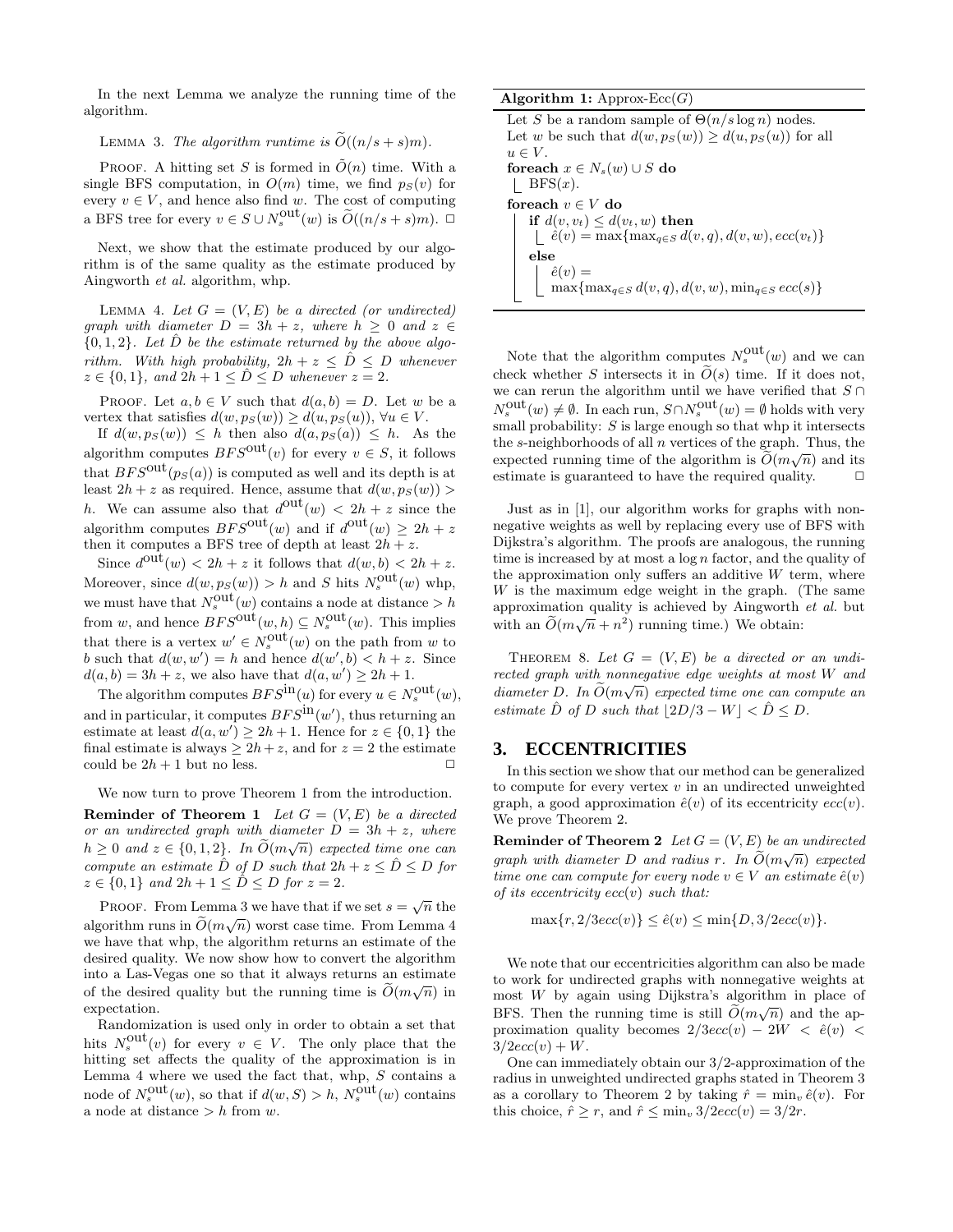In the next Lemma we analyze the running time of the algorithm.

#### LEMMA 3. The algorithm runtime is  $\widetilde{O}((n/s + s)m)$ .

PROOF. A hitting set S is formed in  $\tilde{O}(n)$  time. With a single BFS computation, in  $O(m)$  time, we find  $p_S(v)$  for every  $v \in V$ , and hence also find w. The cost of computing a BFS tree for every  $v \in S \cup N_s^{\text{out}}(w)$  is  $\widetilde{O}((n/s + s)m)$ .  $\Box$ 

Next, we show that the estimate produced by our algorithm is of the same quality as the estimate produced by Aingworth *et al.* algorithm, whp.

LEMMA 4. Let  $G = (V, E)$  be a directed (or undirected) *graph with diameter*  $D = 3h + z$ *, where*  $h \geq 0$  *and*  $z \in$  $\{0,1,2\}$ . Let  $\hat{D}$  be the estimate returned by the above algo*rithm. With high probability,*  $2h + z \leq \hat{D} \leq D$  *whenever*  $z \in \{0, 1\}$ , and  $2h + 1 \le D \le D$  whenever  $z = 2$ .

PROOF. Let  $a, b \in V$  such that  $d(a, b) = D$ . Let w be a vertex that satisfies  $d(w, p_S(w)) \geq d(u, p_S(u))$ ,  $\forall u \in V$ .

If  $d(w, p_S(w)) \leq h$  then also  $d(a, p_S(a)) \leq h$ . As the algorithm computes  $BFS^{out}(v)$  for every  $v \in S$ , it follows that  $BFS^{out}(p_S(a))$  is computed as well and its depth is at least  $2h + z$  as required. Hence, assume that  $d(w, p_S(w))$ h. We can assume also that  $d^{out}(w) < 2h + z$  since the algorithm computes  $BFS^{\text{out}}(w)$  and if  $d^{\text{out}}(w) \ge 2h + z$ then it computes a BFS tree of depth at least  $2h + z$ .

Since  $d^{out}(w) < 2h + z$  it follows that  $d(w, b) < 2h + z$ . Moreover, since  $d(w, p_S(w)) > h$  and S hits  $N_s^{\text{out}}(w)$  whp, we must have that  $N_s^{\text{out}}(w)$  contains a node at distance  $> h$ from w, and hence  $BFS^{\text{out}}(w, h) \subseteq N_s^{\text{out}}(w)$ . This implies that there is a vertex  $w' \in N_s^{\text{out}}(w)$  on the path from w to b such that  $d(w, w') = h$  and hence  $d(w', b) < h + z$ . Since  $d(a, b) = 3h + z$ , we also have that  $d(a, w') \ge 2h + 1$ .

The algorithm computes  $BFS^{\text{in}}(u)$  for every  $u \in N_s^{\text{out}}(w)$ , and in particular, it computes  $BFS^{\text{in}}(w')$ , thus returning an estimate at least  $d(a, w') \ge 2h + 1$ . Hence for  $z \in \{0, 1\}$  the final estimate is always  $\geq 2h+z$ , and for  $z = 2$  the estimate could be  $2h + 1$  but no less. could be  $2h + 1$  but no less.

We now turn to prove Theorem 1 from the introduction. **Reminder of Theorem 1** *Let*  $G = (V, E)$  *be a directed or an undirected graph with diameter*  $D = 3h + z$ *, where*  $h \geq 0$  and  $z \in \{0, 1, 2\}$ . In  $\widetilde{O}(m\sqrt{n})$  expected time one can *compute an estimate*  $\hat{D}$  *of*  $D$  *such that*  $2h + z \leq \hat{D} \leq D$  *for*  $z \in \{0, 1\}$  and  $2h + 1 \leq \hat{D} \leq D$  for  $z = 2$ .

PROOF. From Lemma 3 we have that if we set  $s = \sqrt{n}$  the algorithm runs in  $\widetilde{O}(m\sqrt{n})$  worst case time. From Lemma 4 we have that whp, the algorithm returns an estimate of the desired quality. We now show how to convert the algorithm into a Las-Vegas one so that it always returns an estimate of the desired quality but the running time is  $\tilde{O}(m\sqrt{n})$  in expectation.

Randomization is used only in order to obtain a set that hits  $N_s^{\text{out}}(v)$  for every  $v \in V$ . The only place that the hitting set affects the quality of the approximation is in Lemma 4 where we used the fact that, whp,  $S$  contains a node of  $N_s^{\text{out}}(w)$ , so that if  $d(w, S) > h$ ,  $N_s^{\text{out}}(w)$  contains a node at distance  $> h$  from w.

Algorithm 1: Approx-Ecc $(G)$ 

Let S be a random sample of  $\Theta(n/s \log n)$  nodes. Let w be such that  $d(w, p_S(w)) \geq d(u, p_S(u))$  for all  $u \in V$ . foreach  $x \in N_s(w) \cup S$  do | BFS $(x)$ . foreach  $v \in V$ do if  $d(v, v_t) \leq d(v_t, w)$  then  $\hat{e}(v) = \max\{\max_{q \in S} d(v,q), d(v,w), ecc(v_t)\}\$ else  $\hat{e}(v) =$  $\max{\max_{q\in S} d(v, q), d(v, w), \min_{q\in S} ecc(s)}$ 

Note that the algorithm computes  $N_s^{\text{out}}(w)$  and we can check whether S intersects it in  $\tilde{O}(s)$  time. If it does not, we can rerun the algorithm until we have verified that  $S \cap$  $N_s^{\text{out}}(w) \neq \emptyset$ . In each run,  $S \cap N_s^{\text{out}}(w) = \emptyset$  holds with very small probability:  $S$  is large enough so that whp it intersects the  $s$ -neighborhoods of all  $n$  vertices of the graph. Thus, the expected running time of the algorithm is  $\widetilde{O}(m\sqrt{n})$  and its estimate is guaranteed to have the required quality.  $\Box$ 

Just as in [1], our algorithm works for graphs with nonnegative weights as well by replacing every use of BFS with Dijkstra's algorithm. The proofs are analogous, the running time is increased by at most a  $\log n$  factor, and the quality of the approximation only suffers an additive  $W$  term, where  $W$  is the maximum edge weight in the graph. (The same approximation quality is achieved by Aingworth *et al.* but with an  $\tilde{O}(m\sqrt{n} + n^2)$  running time.) We obtain:

THEOREM 8. Let  $G = (V, E)$  be a directed or an undi*rected graph with nonnegative edge weights at most* W *and*  $diameter\ D.$  In  $\widetilde{O}(m\sqrt{n})$  expected time one can compute an *estimate*  $\hat{D}$  *of*  $D$  *such that*  $|2D/3 - W| < \hat{D} \le D$ *.* 

# **3. ECCENTRICITIES**

In this section we show that our method can be generalized to compute for every vertex  $v$  in an undirected unweighted graph, a good approximation  $\hat{e}(v)$  of its eccentricity  $ecc(v)$ . We prove Theorem 2.

**Reminder of Theorem 2** *Let*  $G = (V, E)$  *be an undirected graph with diameter*  $D$  *and radius*  $r$ *. In*  $\widetilde{O}(m\sqrt{n})$  *expected time one can compute for every node*  $v \in V$  *an estimate*  $\hat{e}(v)$ *of its eccentricity* ecc(v) *such that:*

$$
\max\{r, 2/3ecc(v)\} \le \hat{e}(v) \le \min\{D, 3/2ecc(v)\}.
$$

We note that our eccentricities algorithm can also be made to work for undirected graphs with nonnegative weights at most W by again using Dijkstra's algorithm in place of BFS. Then the running time is still  $\widetilde{O}(m\sqrt{n})$  and the approximation quality becomes  $2/3ecc(v) - 2W < \hat{e}(v)$  $3/2ecc(v) + W$ .

One can immediately obtain our 3/2-approximation of the radius in unweighted undirected graphs stated in Theorem 3 as a corollary to Theorem 2 by taking  $\hat{r} = \min_v \hat{e}(v)$ . For this choice,  $\hat{r} \ge r$ , and  $\hat{r} \le \min_v 3/2ecc(v) = 3/2r$ .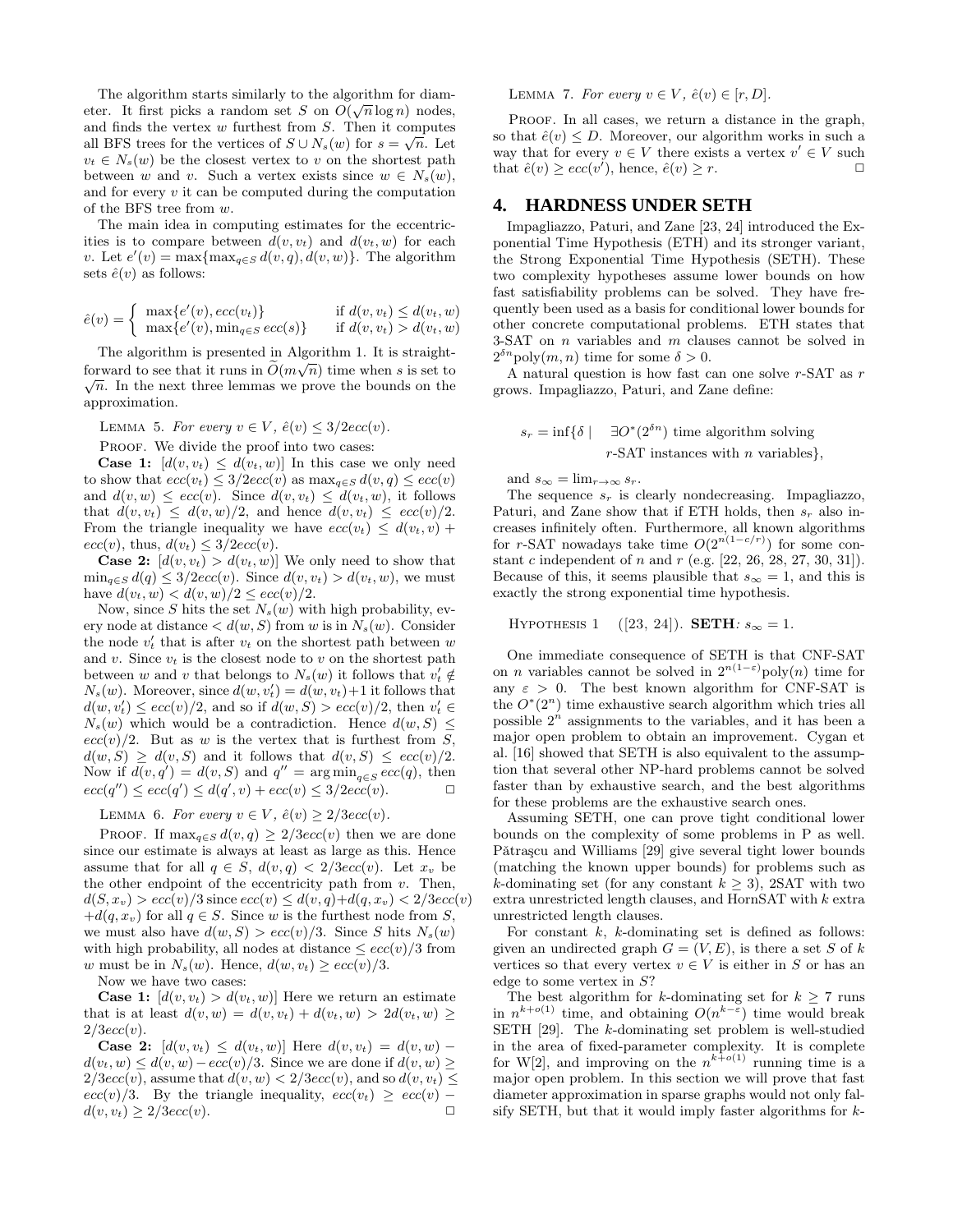The algorithm starts similarly to the algorithm for diameter. It first picks a random set S on  $O(\sqrt{n}\log n)$  nodes, and finds the vertex  $w$  furthest from  $S$ . Then it computes all BFS trees for the vertices of  $S \cup N_s(w)$  for  $s = \sqrt{n}$ . Let  $v_t \in N_s(w)$  be the closest vertex to v on the shortest path between w and v. Such a vertex exists since  $w \in N_s(w)$ , and for every  $v$  it can be computed during the computation of the BFS tree from w.

The main idea in computing estimates for the eccentricities is to compare between  $d(v, v_t)$  and  $d(v_t, w)$  for each v. Let  $e'(v) = \max\{\max_{q \in S} d(v, q), d(v, w)\}\.$  The algorithm sets  $\hat{e}(v)$  as follows:

$$
\hat{e}(v) = \begin{cases} \max\{e'(v), ecc(v_t)\} & \text{if } d(v, v_t) \le d(v_t, w) \\ \max\{e'(v), \min_{q \in S} ecc(s)\} & \text{if } d(v, v_t) > d(v_t, w) \end{cases}
$$

The algorithm is presented in Algorithm 1. It is straightforward to see that it runs in  $\tilde{O}(m\sqrt{n})$  time when s is set to  $\sqrt{n}$ . In the next three lemmas we prove the bounds on the approximation.

LEMMA 5. For every  $v \in V$ ,  $\hat{e}(v) \leq 3/2ecc(v)$ .

PROOF. We divide the proof into two cases:

**Case 1:**  $[d(v, v_t) \leq d(v_t, w)]$  In this case we only need to show that  $ecc(v_t) \leq 3/2ecc(v)$  as  $\max_{q \in S} d(v, q) \leq ecc(v)$ and  $d(v, w) \leq ecc(v)$ . Since  $d(v, v_t) \leq d(v_t, w)$ , it follows that  $d(v, v_t) \leq d(v, w)/2$ , and hence  $d(v, v_t) \leq ecc(v)/2$ . From the triangle inequality we have  $ecc(v_t) \leq d(v_t, v) +$  $ecc(v)$ , thus,  $d(v_t) \leq 3/2ecc(v)$ .

**Case 2:**  $[d(v, v_t) > d(v_t, w)]$  We only need to show that  $\min_{q \in S} d(q) \leq 3/2ecc(v)$ . Since  $d(v, v_t) > d(v_t, w)$ , we must have  $d(v_t, w) < d(v, w)/2 \leq ecc(v)/2$ .

Now, since S hits the set  $N_s(w)$  with high probability, every node at distance  $\langle d(w, S)$  from w is in  $N_s(w)$ . Consider the node  $v'_t$  that is after  $v_t$  on the shortest path between  $w$ and v. Since  $v_t$  is the closest node to v on the shortest path between  $w$  and  $v$  that belongs to  $N_s(w)$  it follows that  $v'_t \notin$  $N_s(w)$ . Moreover, since  $d(w, v'_t) = d(w, v_t) + 1$  it follows that  $d(w, v'_t) \leq ecc(v)/2$ , and so if  $d(w, S) > ecc(v)/2$ , then  $v'_t \in$  $N_s(w)$  which would be a contradiction. Hence  $d(w, S)$  $ecc(v)/2$ . But as w is the vertex that is furthest from S,  $d(w, S) \geq d(v, S)$  and it follows that  $d(v, S) \leq ecc(v)/2$ . Now if  $d(v, q') = d(v, S)$  and  $q'' = \arg \min_{q \in S} ecc(q)$ , then  $ecc(q'') \leq ecc(q') \leq d(q', v) + ecc(v) \leq 3/2ecc(v).$ 

LEMMA 6. For every  $v \in V$ ,  $\hat{e}(v) \geq 2/3ecc(v)$ .

PROOF. If  $\max_{q \in S} d(v, q) \geq 2/3ecc(v)$  then we are done since our estimate is always at least as large as this. Hence assume that for all  $q \in S$ ,  $d(v,q) < 2/3ecc(v)$ . Let  $x_v$  be the other endpoint of the eccentricity path from  $v$ . Then,  $d(S, x_v) > ecc(v)/3$  since  $ecc(v) \leq d(v, q)+d(q, x_v) < 2/3ecc(v)$  $+d(q, x_v)$  for all  $q \in S$ . Since w is the furthest node from S, we must also have  $d(w, S) > ecc(v)/3$ . Since S hits  $N_s(w)$ with high probability, all nodes at distance  $\leq$  ecc(v)/3 from w must be in  $N_s(w)$ . Hence,  $d(w, v_t) \geq ecc(v)/3$ .

Now we have two cases:

**Case 1:**  $[d(v, v_t) > d(v_t, w)]$  Here we return an estimate that is at least  $d(v, w) = d(v, v_t) + d(v_t, w) > 2d(v_t, w) \geq$  $2/3ecc(v)$ .

Case 2:  $[d(v, v_t) \leq d(v_t, w)]$  Here  $d(v, v_t) = d(v, w)$  –  $d(v_t, w) \leq d(v, w) - ecc(v)/3$ . Since we are done if  $d(v, w) \geq$  $2/3ecc(v)$ , assume that  $d(v, w) < 2/3ecc(v)$ , and so  $d(v, v_t) \le$  $ecc(v)/3$ . By the triangle inequality,  $ecc(v_t) \geq ecc(v)$  –  $d(v, v_t) \geq 2/3ecc(v).$ 

LEMMA 7. For every  $v \in V$ ,  $\hat{e}(v) \in [r, D]$ .

PROOF. In all cases, we return a distance in the graph, so that  $\hat{e}(v) \leq D$ . Moreover, our algorithm works in such a way that for every  $v \in V$  there exists a vertex  $v' \in V$  such that  $\hat{e}(v) \geq ecc(v'),$  hence,  $\hat{e}(v) \geq r$ .

# **4. HARDNESS UNDER SETH**

Impagliazzo, Paturi, and Zane [23, 24] introduced the Exponential Time Hypothesis (ETH) and its stronger variant, the Strong Exponential Time Hypothesis (SETH). These two complexity hypotheses assume lower bounds on how fast satisfiability problems can be solved. They have frequently been used as a basis for conditional lower bounds for other concrete computational problems. ETH states that 3-SAT on n variables and m clauses cannot be solved in  $2^{\delta n}$ poly $(m, n)$  time for some  $\delta > 0$ .

A natural question is how fast can one solve r-SAT as r grows. Impagliazzo, Paturi, and Zane define:

$$
s_r = \inf \{ \delta \mid \quad \exists O^*(2^{\delta n}) \text{ time algorithm solving} \}
$$
  
*r*-SAT instances with *n* variables},

and  $s_{\infty} = \lim_{r \to \infty} s_r$ .

The sequence  $s_r$  is clearly nondecreasing. Impagliazzo, Paturi, and Zane show that if ETH holds, then  $s_r$  also increases infinitely often. Furthermore, all known algorithms for r-SAT nowadays take time  $O(2^{n(1-c/r)})$  for some constant c independent of n and  $r$  (e.g. [22, 26, 28, 27, 30, 31]). Because of this, it seems plausible that  $s_{\infty} = 1$ , and this is exactly the strong exponential time hypothesis.

HYPOTHESIS 1 ([23, 24]). **SETH**:  $s_{\infty} = 1$ .

One immediate consequence of SETH is that CNF-SAT on *n* variables cannot be solved in  $2^{n(1-\epsilon)}$ poly $(n)$  time for any  $\varepsilon > 0$ . The best known algorithm for CNF-SAT is the  $O^*(2^n)$  time exhaustive search algorithm which tries all possible  $2^n$  assignments to the variables, and it has been a major open problem to obtain an improvement. Cygan et al. [16] showed that SETH is also equivalent to the assumption that several other NP-hard problems cannot be solved faster than by exhaustive search, and the best algorithms for these problems are the exhaustive search ones.

Assuming SETH, one can prove tight conditional lower bounds on the complexity of some problems in P as well. Pǎtraşcu and Williams [29] give several tight lower bounds (matching the known upper bounds) for problems such as k-dominating set (for any constant  $k \geq 3$ ), 2SAT with two extra unrestricted length clauses, and HornSAT with k extra unrestricted length clauses.

For constant  $k$ ,  $k$ -dominating set is defined as follows: given an undirected graph  $G = (V, E)$ , is there a set S of k vertices so that every vertex  $v \in V$  is either in S or has an edge to some vertex in S?

The best algorithm for k-dominating set for  $k \geq 7$  runs in  $n^{k+o(1)}$  time, and obtaining  $O(n^{k-\epsilon})$  time would break SETH [29]. The k-dominating set problem is well-studied in the area of fixed-parameter complexity. It is complete for W[2], and improving on the  $n^{k+o(1)}$  running time is a major open problem. In this section we will prove that fast diameter approximation in sparse graphs would not only falsify SETH, but that it would imply faster algorithms for  $k$ -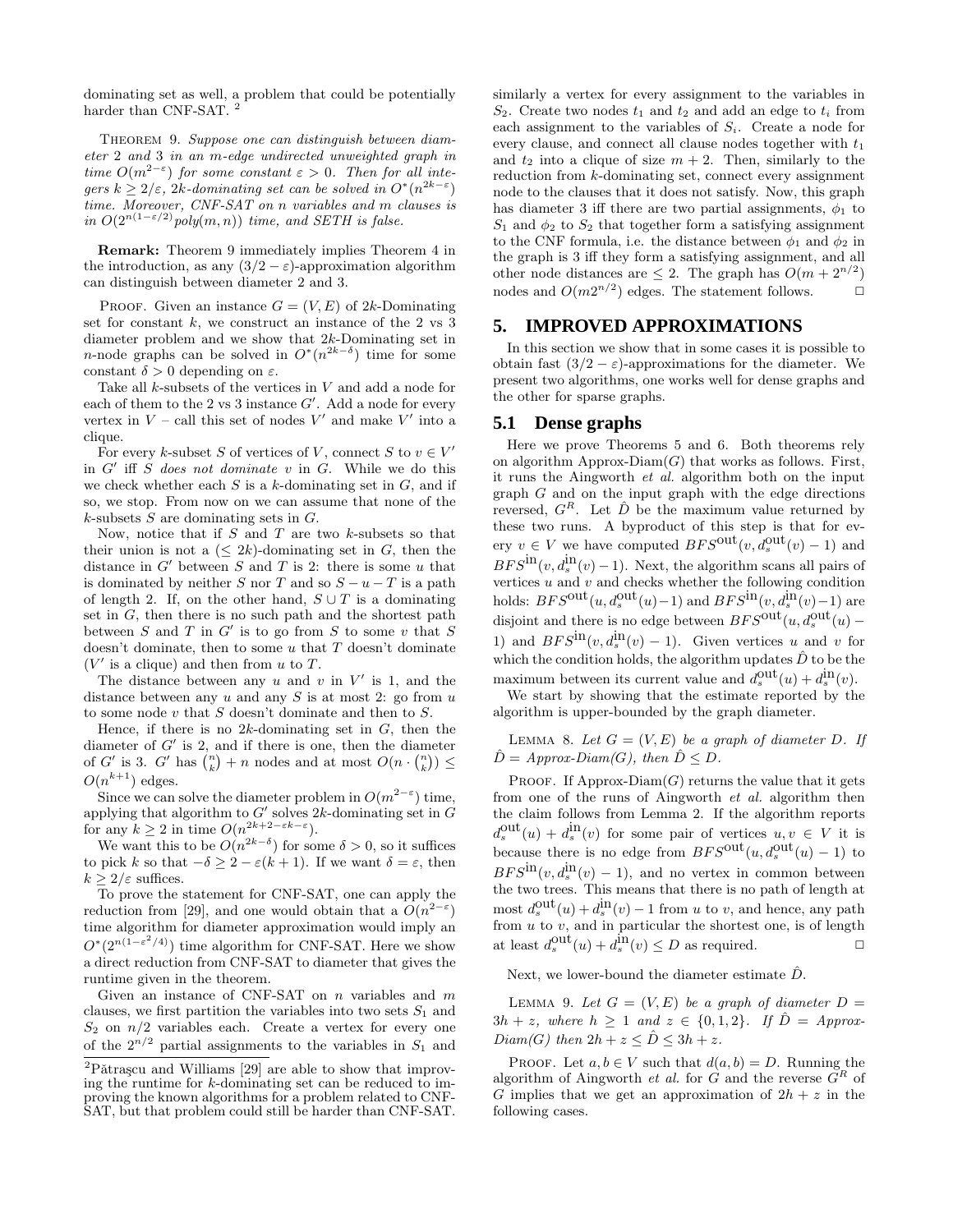dominating set as well, a problem that could be potentially harder than CNF-SAT.<sup>2</sup>

Theorem 9. *Suppose one can distinguish between diameter* 2 *and* 3 *in an* m*-edge undirected unweighted graph in time*  $O(m^{2-\epsilon})$  *for some constant*  $\epsilon > 0$ *. Then for all inte* $gers \ k \geq 2/\varepsilon$ , 2k-dominating set can be solved in  $O^*(n^{2k-\varepsilon})$ *time. Moreover, CNF-SAT on* n *variables and* m *clauses is in*  $O(2^{n(1-\epsilon/2)}$ *poly* $(m, n)$ *) time, and SETH is false.* 

Remark: Theorem 9 immediately implies Theorem 4 in the introduction, as any  $(3/2 - \varepsilon)$ -approximation algorithm can distinguish between diameter 2 and 3.

PROOF. Given an instance  $G = (V, E)$  of 2k-Dominating set for constant  $k$ , we construct an instance of the 2 vs 3 diameter problem and we show that 2k-Dominating set in *n*-node graphs can be solved in  $O^*(n^{2k-\delta})$  time for some constant  $\delta > 0$  depending on  $\varepsilon$ .

Take all  $k$ -subsets of the vertices in  $V$  and add a node for each of them to the 2 vs 3 instance  $G'$ . Add a node for every vertex in  $V$  – call this set of nodes  $V'$  and make  $V'$  into a clique.

For every k-subset S of vertices of V, connect S to  $v \in V'$ in  $G'$  iff  $\tilde{S}$  *does not dominate*  $v$  in  $\tilde{G}$ . While we do this we check whether each  $S$  is a k-dominating set in  $G$ , and if so, we stop. From now on we can assume that none of the  $k$ -subsets  $S$  are dominating sets in  $G$ .

Now, notice that if  $S$  and  $T$  are two  $k$ -subsets so that their union is not a  $(\leq 2k)$ -dominating set in G, then the distance in  $G'$  between  $S$  and  $T$  is 2: there is some  $u$  that is dominated by neither S nor T and so  $S - u - T$  is a path of length 2. If, on the other hand,  $S \cup T$  is a dominating set in  $G$ , then there is no such path and the shortest path between  $S$  and  $T$  in  $G'$  is to go from  $S$  to some  $v$  that  $S$ doesn't dominate, then to some  $u$  that  $T$  doesn't dominate  $(V'$  is a clique) and then from u to T.

The distance between any  $u$  and  $v$  in  $V'$  is 1, and the distance between any  $u$  and any  $S$  is at most 2: go from  $u$ to some node  $v$  that  $S$  doesn't dominate and then to  $S$ .

Hence, if there is no  $2k$ -dominating set in  $G$ , then the diameter of  $G'$  is 2, and if there is one, then the diameter of G' is 3. G' has  $\binom{n}{k} + n$  nodes and at most  $O(n \cdot \binom{n}{k}) \le$  $O(n^{k+1})$  edges.

Since we can solve the diameter problem in  $O(m^{2-\varepsilon})$  time, applying that algorithm to  $G'$  solves 2k-dominating set in  $G$ for any  $k \geq 2$  in time  $O(n^{2k+2-\epsilon k-\epsilon})$ .

We want this to be  $O(n^{2k-\delta})$  for some  $\delta > 0$ , so it suffices to pick k so that  $-\delta \geq 2 - \varepsilon (k+1)$ . If we want  $\delta = \varepsilon$ , then  $k > 2/\varepsilon$  suffices.

To prove the statement for CNF-SAT, one can apply the reduction from [29], and one would obtain that a  $O(n^{2-\epsilon})$ time algorithm for diameter approximation would imply an  $O^*(2^{n(1-\varepsilon^2/4)})$  time algorithm for CNF-SAT. Here we show a direct reduction from CNF-SAT to diameter that gives the runtime given in the theorem.

Given an instance of CNF-SAT on  $n$  variables and  $m$ clauses, we first partition the variables into two sets  $S_1$  and  $S_2$  on  $n/2$  variables each. Create a vertex for every one of the  $2^{n/2}$  partial assignments to the variables in  $S_1$  and similarly a vertex for every assignment to the variables in  $S_2$ . Create two nodes  $t_1$  and  $t_2$  and add an edge to  $t_i$  from each assignment to the variables of  $S_i$ . Create a node for every clause, and connect all clause nodes together with  $t_1$ and  $t_2$  into a clique of size  $m + 2$ . Then, similarly to the reduction from k-dominating set, connect every assignment node to the clauses that it does not satisfy. Now, this graph has diameter 3 iff there are two partial assignments,  $\phi_1$  to  $S_1$  and  $\phi_2$  to  $S_2$  that together form a satisfying assignment to the CNF formula, i.e. the distance between  $\phi_1$  and  $\phi_2$  in the graph is 3 iff they form a satisfying assignment, and all other node distances are  $\leq 2$ . The graph has  $O(m + 2^{n/2})$ nodes and  $O(m2^{n/2})$  edges. The statement follows.  $\Box$ 

# **5. IMPROVED APPROXIMATIONS**

In this section we show that in some cases it is possible to obtain fast  $(3/2 - \varepsilon)$ -approximations for the diameter. We present two algorithms, one works well for dense graphs and the other for sparse graphs.

#### **5.1 Dense graphs**

Here we prove Theorems 5 and 6. Both theorems rely on algorithm Approx-Diam $(G)$  that works as follows. First, it runs the Aingworth *et al.* algorithm both on the input graph G and on the input graph with the edge directions reversed,  $G^R$ . Let  $\hat{D}$  be the maximum value returned by these two runs. A byproduct of this step is that for every  $v \in V$  we have computed  $BFS^{out}(v, d_s^{out}(v) - 1)$  and  $BFS^{\text{in}}(v, d_s^{\text{in}}(v) - 1)$ . Next, the algorithm scans all pairs of vertices  $u$  and  $v$  and checks whether the following condition holds:  $BFS^{\text{out}}(u, d_s^{\text{out}}(u) - 1)$  and  $BFS^{\text{in}}(v, d_s^{\text{in}}(v) - 1)$  are disjoint and there is no edge between  $BFS^{\text{out}}(u,a_s^{\text{out}}(u)$  – 1) and  $BFS^{\text{in}}(v, d_s^{\text{in}}(v) - 1)$ . Given vertices  $u$  and  $v$  for which the condition holds, the algorithm updates  $\hat{D}$  to be the maximum between its current value and  $d_s^{\text{out}}(u) + d_s^{\text{in}}(v)$ .

We start by showing that the estimate reported by the algorithm is upper-bounded by the graph diameter.

LEMMA 8. Let  $G = (V, E)$  be a graph of diameter D. If  $\hat{D} = Approx-Diam(G)$ , then  $\hat{D} \leq D$ .

PROOF. If Approx-Diam $(G)$  returns the value that it gets from one of the runs of Aingworth *et al.* algorithm then the claim follows from Lemma 2. If the algorithm reports  $d_s^{\text{out}}(u) + d_s^{\text{in}}(v)$  for some pair of vertices  $u, v \in V$  it is because there is no edge from  $BFS^{\text{out}}(u, d_s^{\text{out}}(u) - 1)$  to  $BFS^{\text{in}}(v, d_s^{\text{in}}(v) - 1)$ , and no vertex in common between the two trees. This means that there is no path of length at most  $d_s^{\text{out}}(u) + d_s^{\text{in}}(v) - 1$  from u to v, and hence, any path from  $u$  to  $v$ , and in particular the shortest one, is of length at least  $d_s^{\text{out}}(u) + d_s^{\text{in}}(v) \le D$  as required.

Next, we lower-bound the diameter estimate  $\hat{D}$ .

LEMMA 9. Let  $G = (V, E)$  be a graph of diameter  $D =$  $3h + z$ , where  $h \geq 1$  and  $z \in \{0, 1, 2\}$ . If  $\hat{D} = Approx$ *Diam(G)* then  $2h + z \leq \hat{D} \leq 3h + z$ .

PROOF. Let  $a, b \in V$  such that  $d(a, b) = D$ . Running the algorithm of Aingworth *et al.* for  $G$  and the reverse  $G<sup>R</sup>$  of G implies that we get an approximation of  $2h + z$  in the following cases.

 $2P\text{a}t$ rașcu and Williams [29] are able to show that improving the runtime for k-dominating set can be reduced to improving the known algorithms for a problem related to CNF-SAT, but that problem could still be harder than CNF-SAT.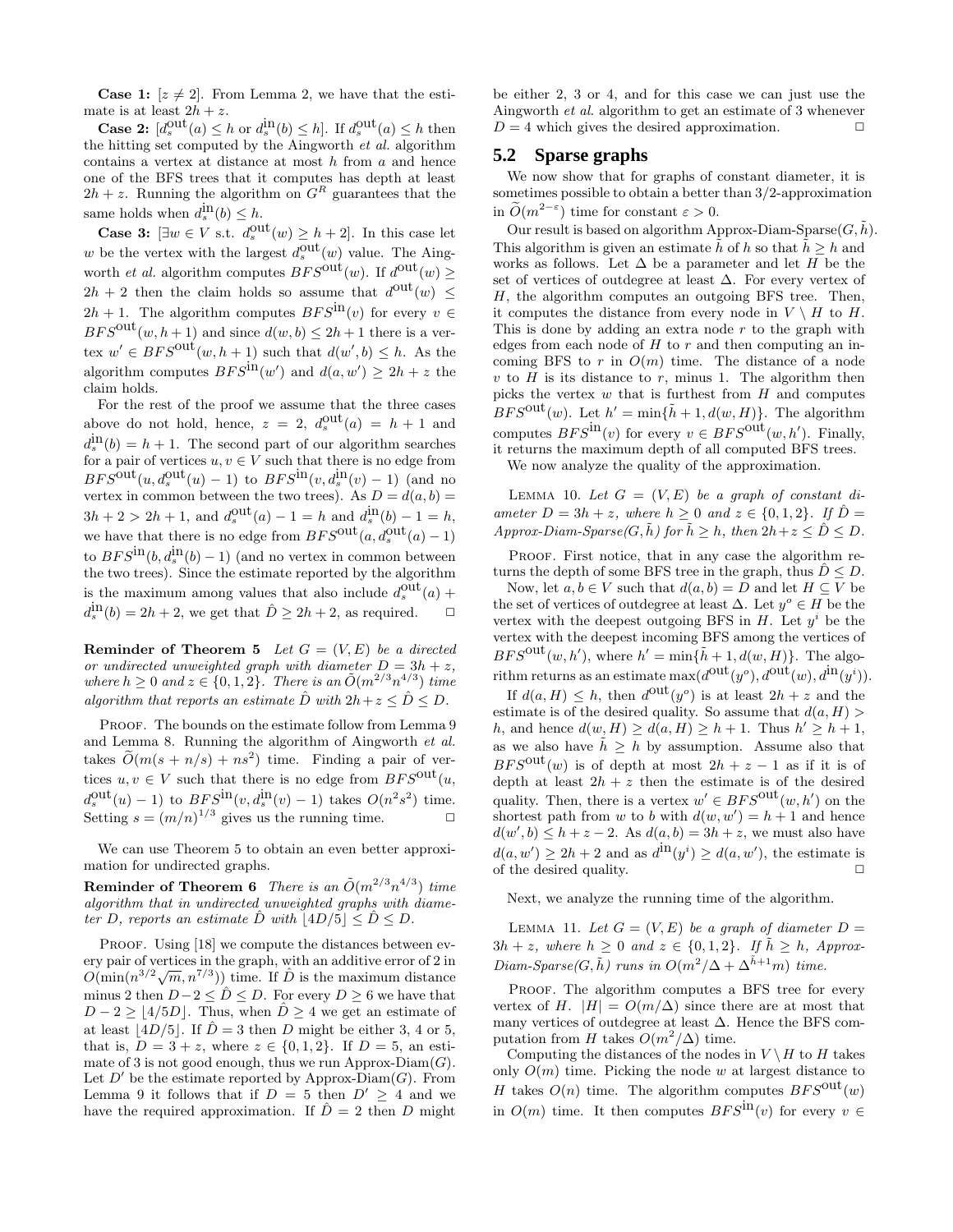**Case 1:**  $[z \neq 2]$ . From Lemma 2, we have that the estimate is at least  $2h + z$ .

**Case 2:**  $[d_s^{\text{out}}(a) \leq h \text{ or } d_s^{\text{in}}(b) \leq h]$ . If  $d_s^{\text{out}}(a) \leq h$  then the hitting set computed by the Aingworth *et al.* algorithm contains a vertex at distance at most  $h$  from  $a$  and hence one of the BFS trees that it computes has depth at least  $2h + z$ . Running the algorithm on  $G<sup>R</sup>$  guarantees that the same holds when  $d_s^{\text{in}}(b) \leq h$ .

**Case 3:**  $[\exists w \in V \text{ s.t. } d_s^{\text{out}}(w) \geq h+2]$ . In this case let w be the vertex with the largest  $d_s^{\text{out}}(w)$  value. The Aingworth *et al.* algorithm computes  $BFS^{\text{out}}(w)$ . If  $d^{\text{out}}(w) \geq$  $2h + 2$  then the claim holds so assume that  $d^{\text{out}}(w) \leq$  $2h + 1$ . The algorithm computes  $BFS^{\text{in}}(v)$  for every  $v \in$  $BFS^{\text{out}}(w, h+1)$  and since  $d(w, b) \leq 2h+1$  there is a vertex  $w' \in BFS^{\text{out}}(w, h+1)$  such that  $d(w', b) \leq h$ . As the algorithm computes  $BFS^{\text{in}}(w')$  and  $d(a, w') \ge 2h + z$  the claim holds.

For the rest of the proof we assume that the three cases above do not hold, hence,  $z = 2$ ,  $d_s^{\text{out}}(a) = h + 1$  and  $d_s^{\text{in}}(b) = h + 1$ . The second part of our algorithm searches for a pair of vertices  $u,v\in V$  such that there is no edge from  $BFS^{\text{out}}(u, d_s^{\text{out}}(u) - 1)$  to  $BFS^{\text{in}}(v, d_s^{\text{in}}(v) - 1)$  (and no vertex in common between the two trees). As  $D = d(a, b) =$  $3h + 2 > 2h + 1$ , and  $d_s^{\text{out}}(a) - 1 = h$  and  $d_s^{\text{in}}(b) - 1 = h$ , we have that there is no edge from  $BFS^{\text{out}}(a, d_s^{\text{out}}(a) - 1)$ to  $BFS^{\text{in}}(b, d_s^{\text{in}}(b) - 1)$  (and no vertex in common between the two trees). Since the estimate reported by the algorithm is the maximum among values that also include  $d_s^{\text{out}}(a)$  +  $d_s^{\text{in}}(b) = 2h + 2$ , we get that  $\hat{D} \geq 2h + 2$ , as required.  $\Box$ 

**Reminder of Theorem 5** *Let*  $G = (V, E)$  *be a directed or undirected unweighted graph with diameter*  $D = 3h + z$ , *where*  $h \geq 0$  *and*  $z \in \{0, 1, 2\}$ *. There is an*  $\tilde{O}(m^{2/3}n^{4/3})$  *time algorithm that reports an estimate*  $\hat{D}$  *with*  $2h + z \leq \hat{D} \leq D$ .

PROOF. The bounds on the estimate follow from Lemma 9 and Lemma 8. Running the algorithm of Aingworth *et al.* takes  $\tilde{O}(m(s + n/s) + ns^2)$  time. Finding a pair of vertices  $u, v \in V$  such that there is no edge from  $BFS^{\text{out}}(u,$  $d_s^{\text{out}}(u) - 1$  to  $BFS^{\text{in}}(v, d_s^{\text{in}}(v) - 1)$  takes  $O(n^2s^2)$  time. Setting  $s = (m/n)^{1/3}$  gives us the running time.

We can use Theorem 5 to obtain an even better approximation for undirected graphs.

**Reminder of Theorem 6** There is an  $\tilde{O}(m^{2/3}n^{4/3})$  time *algorithm that in undirected unweighted graphs with diameter* D, reports an estimate  $\ddot{D}$  *with*  $|4D/5| \le \ddot{D} \le D$ .

PROOF. Using [18] we compute the distances between every pair of vertices in the graph, with an additive error of 2 in  $O(\min(n^{3/2}\sqrt{m}, n^{7/3}))$  time. If  $\hat{D}$  is the maximum distance minus 2 then  $D-2 \leq \hat{D} \leq D$ . For every  $D \geq 6$  we have that  $D-2 \ge |4/5D|$ . Thus, when  $\hat{D} \ge 4$  we get an estimate of at least  $|4D/5|$ . If  $\hat{D} = 3$  then D might be either 3, 4 or 5, that is,  $D = 3 + z$ , where  $z \in \{0, 1, 2\}$ . If  $D = 5$ , an estimate of 3 is not good enough, thus we run Approx-Diam $(G)$ . Let  $D'$  be the estimate reported by Approx-Diam(G). From Lemma 9 it follows that if  $D = 5$  then  $D' \geq 4$  and we have the required approximation. If  $\hat{D}=2$  then D might

be either 2, 3 or 4, and for this case we can just use the Aingworth *et al.* algorithm to get an estimate of 3 whenever  $D = 4$  which gives the desired approximation.  $\square$ 

#### **5.2 Sparse graphs**

We now show that for graphs of constant diameter, it is sometimes possible to obtain a better than 3/2-approximation in  $\tilde{O}(m^{2-\epsilon})$  time for constant  $\varepsilon > 0$ .

Our result is based on algorithm Approx-Diam-Sparse $(G, \tilde{h})$ . This algorithm is given an estimate  $\tilde{h}$  of h so that  $\tilde{h} > h$  and works as follows. Let  $\Delta$  be a parameter and let H be the set of vertices of outdegree at least ∆. For every vertex of  $H$ , the algorithm computes an outgoing BFS tree. Then, it computes the distance from every node in  $V \setminus H$  to H. This is done by adding an extra node  $r$  to the graph with edges from each node of  $H$  to  $r$  and then computing an incoming BFS to r in  $O(m)$  time. The distance of a node  $v$  to  $H$  is its distance to  $r$ , minus 1. The algorithm then picks the vertex  $w$  that is furthest from  $H$  and computes  $BFS^{\text{out}}(w)$ . Let  $h' = \min{\{\tilde{h} + 1, d(w, H)\}}$ . The algorithm computes  $BFS^{\text{in}}(v)$  for every  $v \in BFS^{\text{out}}(w, h')$ . Finally, it returns the maximum depth of all computed BFS trees.

We now analyze the quality of the approximation.

LEMMA 10. Let  $G = (V, E)$  be a graph of constant di*ameter*  $D = 3h + z$ *, where*  $h \geq 0$  *and*  $z \in \{0, 1, 2\}$ *. If*  $\hat{D} =$ *Approx-Diam-Sparse*( $G, \tilde{h}$ *)* for  $\tilde{h} \geq h$ *, then*  $2h + z \leq \tilde{D} \leq D$ *.* 

PROOF. First notice, that in any case the algorithm returns the depth of some BFS tree in the graph, thus  $\hat{D} \leq D$ .

Now, let  $a, b \in V$  such that  $d(a, b) = D$  and let  $H \subseteq V$  be the set of vertices of outdegree at least  $\Delta$ . Let  $y^{\circ} \in H$  be the vertex with the deepest outgoing BFS in  $H$ . Let  $y^i$  be the vertex with the deepest incoming BFS among the vertices of  $BFS^{\text{out}}(w, h'),$  where  $h' = \min{\{\tilde{h} + 1, d(w, H)\}}$ . The algorithm returns as an estimate  $\max(d^{out}(y^o), d^{out}(w), d^{in}(y^i)).$ 

If  $d(a, H) \leq h$ , then  $d^{\text{out}}(y^{\circ})$  is at least  $2h + z$  and the estimate is of the desired quality. So assume that  $d(a, H)$ h, and hence  $d(w, H) \geq d(a, H) \geq h + 1$ . Thus  $h' \geq h + 1$ , as we also have  $\tilde{h} \geq h$  by assumption. Assume also that  $BFS<sup>out</sup>(w)$  is of depth at most  $2h + z - 1$  as if it is of depth at least  $2h + z$  then the estimate is of the desired quality. Then, there is a vertex  $w' \in BFS^{\text{out}}(w, h')$  on the shortest path from w to b with  $d(w, w') = h + 1$  and hence  $d(w', b) \leq h + z - 2$ . As  $d(a, b) = 3h + z$ , we must also have  $d(a, w') \ge 2h + 2$  and as  $d^{\text{in}}(y^i) \ge d(a, w')$ , the estimate is of the desired quality.  $\Box$ 

Next, we analyze the running time of the algorithm.

LEMMA 11. Let  $G = (V, E)$  be a graph of diameter  $D =$  $3h + z$ *, where*  $h \geq 0$  *and*  $z \in \{0, 1, 2\}$ *. If*  $\tilde{h} \geq h$ *, Approx-* $Diam-Sparse(G, \tilde{h})$  *runs in*  $O(m^2/\Delta + \Delta^{\tilde{h}+1}m)$  *time.* 

PROOF. The algorithm computes a BFS tree for every vertex of H.  $|H| = O(m/\Delta)$  since there are at most that many vertices of outdegree at least  $\Delta$ . Hence the BFS computation from H takes  $O(m^2/\Delta)$  time.

Computing the distances of the nodes in  $V \setminus H$  to H takes only  $O(m)$  time. Picking the node w at largest distance to H takes  $O(n)$  time. The algorithm computes  $BFS^{out}(w)$ in  $O(m)$  time. It then computes  $BFS^{\text{in}}(v)$  for every  $v \in$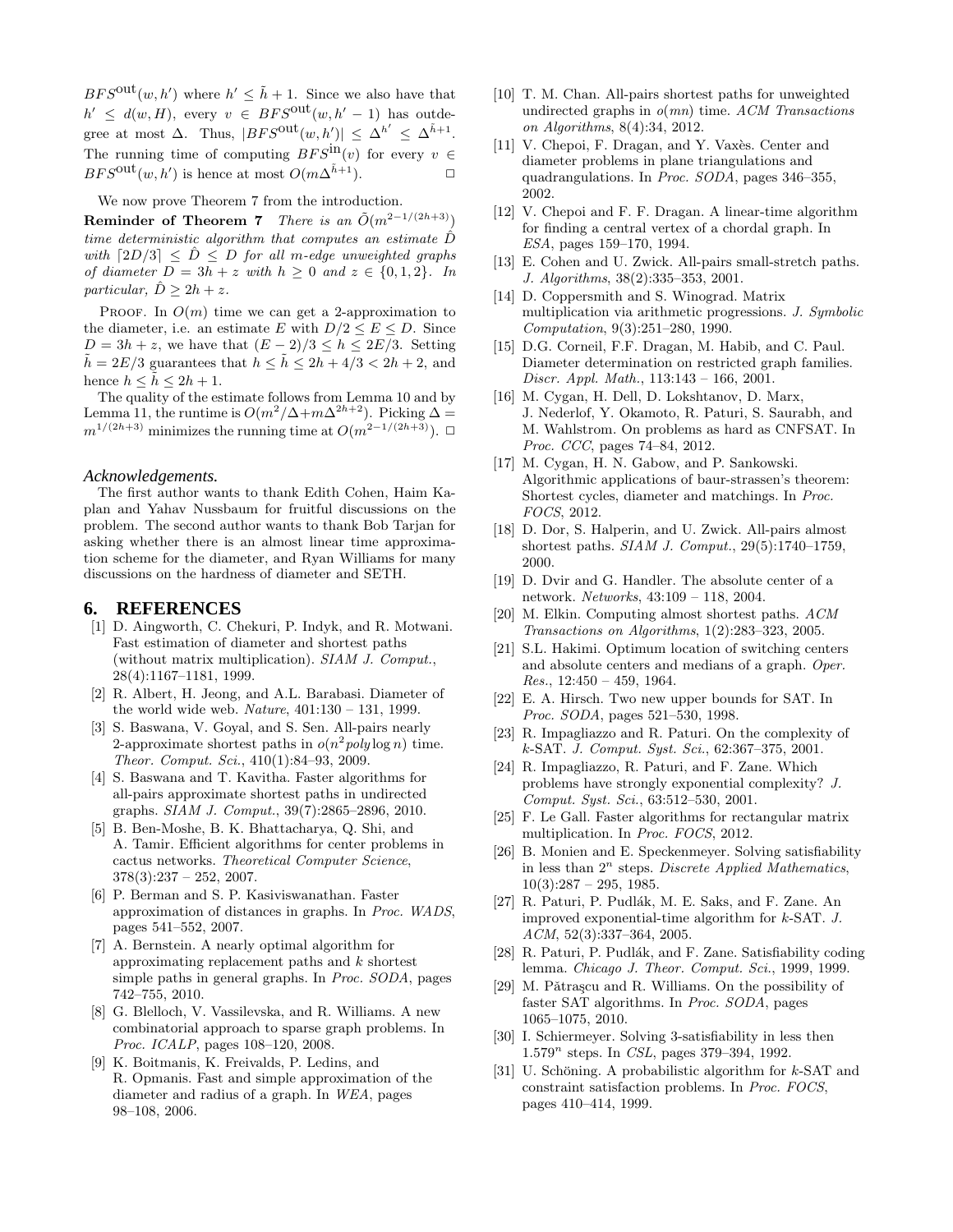$BFS^{\text{out}}(w, h')$  where  $h' \leq \tilde{h} + 1$ . Since we also have that  $h' \leq d(w, H)$ , every  $v \in BFS^{\text{out}}(w, h' - 1)$  has outdegree at most  $\Delta$ . Thus,  $|BFS^{\text{out}}(w, h')| \leq \Delta^{h'} \leq \Delta^{h+1}$ . The running time of computing  $BFS^{\text{in}}(v)$  for every  $v \in RFS^{\text{out}}(w, h')$  is hence at most  $O(m\Lambda^{\tilde{h}+1})$  $BFS^{\text{out}}(w, h')$  is hence at most  $O(m\Delta^{\tilde{h}+1})$ .

We now prove Theorem 7 from the introduction.

Reminder of Theorem 7 *There is an*  $\tilde{O}(m^{2-1/(2h+3)})$ *time deterministic algorithm that computes an estimate*  $\hat{D}$ *with*  $\lceil 2D/3 \rceil \leq D \leq D$  *for all m-edge unweighted graphs of diameter*  $D = 3h + z$  *with*  $h \geq 0$  *and*  $z \in \{0, 1, 2\}$ *. In particular,*  $\hat{D} \geq 2h + z$ .

PROOF. In  $O(m)$  time we can get a 2-approximation to the diameter, i.e. an estimate E with  $D/2 \leq E \leq D$ . Since  $D = 3h + z$ , we have that  $(E - 2)/3 \le h \le 2E/3$ . Setting  $\tilde{h} = 2E/3$  guarantees that  $h \leq \tilde{h} \leq 2h + 4/3 < 2h + 2$ , and hence  $h \leq \tilde{h} \leq 2h + 1$ .

The quality of the estimate follows from Lemma 10 and by Lemma 11, the runtime is  $O(m^2/\Delta+m\Delta^{2h+2})$ . Picking  $\Delta=$  $m^{1/(2h+3)}$  minimizes the running time at  $O(m^{2-1/(2h+3)})$ . □

#### *Acknowledgements.*

The first author wants to thank Edith Cohen, Haim Kaplan and Yahav Nussbaum for fruitful discussions on the problem. The second author wants to thank Bob Tarjan for asking whether there is an almost linear time approximation scheme for the diameter, and Ryan Williams for many discussions on the hardness of diameter and SETH.

## **6. REFERENCES**

- [1] D. Aingworth, C. Chekuri, P. Indyk, and R. Motwani. Fast estimation of diameter and shortest paths (without matrix multiplication). *SIAM J. Comput.*, 28(4):1167–1181, 1999.
- [2] R. Albert, H. Jeong, and A.L. Barabasi. Diameter of the world wide web. *Nature*, 401:130 – 131, 1999.
- [3] S. Baswana, V. Goyal, and S. Sen. All-pairs nearly 2-approximate shortest paths in  $o(n^2 poly \log n)$  time. *Theor. Comput. Sci.*, 410(1):84–93, 2009.
- [4] S. Baswana and T. Kavitha. Faster algorithms for all-pairs approximate shortest paths in undirected graphs. *SIAM J. Comput.*, 39(7):2865–2896, 2010.
- [5] B. Ben-Moshe, B. K. Bhattacharya, Q. Shi, and A. Tamir. Efficient algorithms for center problems in cactus networks. *Theoretical Computer Science*,  $378(3):237 - 252$ , 2007.
- [6] P. Berman and S. P. Kasiviswanathan. Faster approximation of distances in graphs. In *Proc. WADS*, pages 541–552, 2007.
- [7] A. Bernstein. A nearly optimal algorithm for approximating replacement paths and k shortest simple paths in general graphs. In *Proc. SODA*, pages 742–755, 2010.
- [8] G. Blelloch, V. Vassilevska, and R. Williams. A new combinatorial approach to sparse graph problems. In *Proc. ICALP*, pages 108–120, 2008.
- [9] K. Boitmanis, K. Freivalds, P. Ledins, and R. Opmanis. Fast and simple approximation of the diameter and radius of a graph. In *WEA*, pages 98–108, 2006.
- [10] T. M. Chan. All-pairs shortest paths for unweighted undirected graphs in *o*(*mn*) time. *ACM Transactions on Algorithms*, 8(4):34, 2012.
- [11] V. Chepoi, F. Dragan, and Y. Vaxès. Center and diameter problems in plane triangulations and quadrangulations. In *Proc. SODA*, pages 346–355, 2002.
- [12] V. Chepoi and F. F. Dragan. A linear-time algorithm for finding a central vertex of a chordal graph. In *ESA*, pages 159–170, 1994.
- [13] E. Cohen and U. Zwick. All-pairs small-stretch paths. *J. Algorithms*, 38(2):335–353, 2001.
- [14] D. Coppersmith and S. Winograd. Matrix multiplication via arithmetic progressions. *J. Symbolic Computation*, 9(3):251–280, 1990.
- [15] D.G. Corneil, F.F. Dragan, M. Habib, and C. Paul. Diameter determination on restricted graph families. *Discr. Appl. Math.*, 113:143 – 166, 2001.
- [16] M. Cygan, H. Dell, D. Lokshtanov, D. Marx, J. Nederlof, Y. Okamoto, R. Paturi, S. Saurabh, and M. Wahlstrom. On problems as hard as CNFSAT. In *Proc. CCC*, pages 74–84, 2012.
- [17] M. Cygan, H. N. Gabow, and P. Sankowski. Algorithmic applications of baur-strassen's theorem: Shortest cycles, diameter and matchings. In *Proc. FOCS*, 2012.
- [18] D. Dor, S. Halperin, and U. Zwick. All-pairs almost shortest paths. *SIAM J. Comput.*, 29(5):1740–1759, 2000.
- [19] D. Dvir and G. Handler. The absolute center of a network. *Networks*, 43:109 – 118, 2004.
- [20] M. Elkin. Computing almost shortest paths. *ACM Transactions on Algorithms*, 1(2):283–323, 2005.
- [21] S.L. Hakimi. Optimum location of switching centers and absolute centers and medians of a graph. *Oper. Res.*, 12:450 – 459, 1964.
- [22] E. A. Hirsch. Two new upper bounds for SAT. In *Proc. SODA*, pages 521–530, 1998.
- [23] R. Impagliazzo and R. Paturi. On the complexity of k-SAT. *J. Comput. Syst. Sci.*, 62:367–375, 2001.
- [24] R. Impagliazzo, R. Paturi, and F. Zane. Which problems have strongly exponential complexity? *J. Comput. Syst. Sci.*, 63:512–530, 2001.
- [25] F. Le Gall. Faster algorithms for rectangular matrix multiplication. In *Proc. FOCS*, 2012.
- [26] B. Monien and E. Speckenmeyer. Solving satisfiability in less than  $2^n$  steps. *Discrete Applied Mathematics*,  $10(3):287 - 295, 1985.$
- [27] R. Paturi, P. Pudlák, M. E. Saks, and F. Zane. An improved exponential-time algorithm for k-SAT. *J. ACM*, 52(3):337–364, 2005.
- [28] R. Paturi, P. Pudlák, and F. Zane. Satisfiability coding lemma. *Chicago J. Theor. Comput. Sci.*, 1999, 1999.
- [29] M. Pǎtrascu and R. Williams. On the possibility of faster SAT algorithms. In *Proc. SODA*, pages 1065–1075, 2010.
- [30] I. Schiermeyer. Solving 3-satisfiability in less then 1.579<sup>n</sup> steps. In *CSL*, pages 379-394, 1992.
- [31] U. Schöning. A probabilistic algorithm for  $k$ -SAT and constraint satisfaction problems. In *Proc. FOCS*, pages 410–414, 1999.